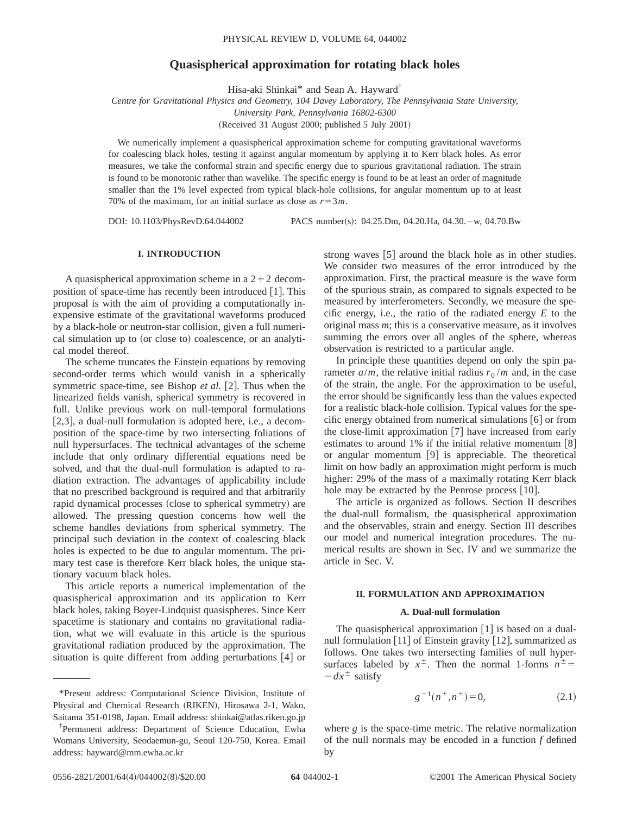# **Quasispherical approximation for rotating black holes**

Hisa-aki Shinkai\* and Sean A. Hayward†

*Centre for Gravitational Physics and Geometry, 104 Davey Laboratory, The Pennsylvania State University, University Park, Pennsylvania 16802-6300*

(Received 31 August 2000; published 5 July 2001)

We numerically implement a quasispherical approximation scheme for computing gravitational waveforms for coalescing black holes, testing it against angular momentum by applying it to Kerr black holes. As error measures, we take the conformal strain and specific energy due to spurious gravitational radiation. The strain is found to be monotonic rather than wavelike. The specific energy is found to be at least an order of magnitude smaller than the 1% level expected from typical black-hole collisions, for angular momentum up to at least 70% of the maximum, for an initial surface as close as  $r=3m$ .

DOI: 10.1103/PhysRevD.64.044002 PACS number(s): 04.25.Dm, 04.20.Ha, 04.30. - w, 04.70.Bw

# **I. INTRODUCTION**

A quasispherical approximation scheme in a  $2+2$  decomposition of space-time has recently been introduced  $[1]$ . This proposal is with the aim of providing a computationally inexpensive estimate of the gravitational waveforms produced by a black-hole or neutron-star collision, given a full numerical simulation up to (or close to) coalescence, or an analytical model thereof.

The scheme truncates the Einstein equations by removing second-order terms which would vanish in a spherically symmetric space-time, see Bishop *et al.* [2]. Thus when the linearized fields vanish, spherical symmetry is recovered in full. Unlike previous work on null-temporal formulations  $[2,3]$ , a dual-null formulation is adopted here, i.e., a decomposition of the space-time by two intersecting foliations of null hypersurfaces. The technical advantages of the scheme include that only ordinary differential equations need be solved, and that the dual-null formulation is adapted to radiation extraction. The advantages of applicability include that no prescribed background is required and that arbitrarily rapid dynamical processes (close to spherical symmetry) are allowed. The pressing question concerns how well the scheme handles deviations from spherical symmetry. The principal such deviation in the context of coalescing black holes is expected to be due to angular momentum. The primary test case is therefore Kerr black holes, the unique stationary vacuum black holes.

This article reports a numerical implementation of the quasispherical approximation and its application to Kerr black holes, taking Boyer-Lindquist quasispheres. Since Kerr spacetime is stationary and contains no gravitational radiation, what we will evaluate in this article is the spurious gravitational radiation produced by the approximation. The situation is quite different from adding perturbations  $[4]$  or

strong waves  $[5]$  around the black hole as in other studies. We consider two measures of the error introduced by the approximation. First, the practical measure is the wave form of the spurious strain, as compared to signals expected to be measured by interferometers. Secondly, we measure the specific energy, i.e., the ratio of the radiated energy *E* to the original mass *m*; this is a conservative measure, as it involves summing the errors over all angles of the sphere, whereas observation is restricted to a particular angle.

In principle these quantities depend on only the spin parameter  $a/m$ , the relative initial radius  $r_0/m$  and, in the case of the strain, the angle. For the approximation to be useful, the error should be significantly less than the values expected for a realistic black-hole collision. Typical values for the specific energy obtained from numerical simulations  $\lceil 6 \rceil$  or from the close-limit approximation  $[7]$  have increased from early estimates to around 1% if the initial relative momentum  $[8]$ or angular momentum  $[9]$  is appreciable. The theoretical limit on how badly an approximation might perform is much higher: 29% of the mass of a maximally rotating Kerr black hole may be extracted by the Penrose process  $[10]$ .

The article is organized as follows. Section II describes the dual-null formalism, the quasispherical approximation and the observables, strain and energy. Section III describes our model and numerical integration procedures. The numerical results are shown in Sec. IV and we summarize the article in Sec. V.

## **II. FORMULATION AND APPROXIMATION**

### **A. Dual-null formulation**

The quasispherical approximation  $[1]$  is based on a dualnull formulation  $\lceil 11 \rceil$  of Einstein gravity  $\lceil 12 \rceil$ , summarized as follows. One takes two intersecting families of null hypersurfaces labeled by  $x^{\pm}$ . Then the normal 1-forms  $n^{\pm}$  $-dx^{\pm}$  satisfy

$$
g^{-1}(n^{\pm}, n^{\pm}) = 0, \tag{2.1}
$$

where *g* is the space-time metric. The relative normalization of the null normals may be encoded in a function *f* defined by

<sup>\*</sup>Present address: Computational Science Division, Institute of Physical and Chemical Research (RIKEN), Hirosawa 2-1, Wako, Saitama 351-0198, Japan. Email address: shinkai@atlas.riken.go.jp

<sup>†</sup> Permanent address: Department of Science Education, Ewha Womans University, Seodaemun-gu, Seoul 120-750, Korea. Email address: hayward@mm.ewha.ac.kr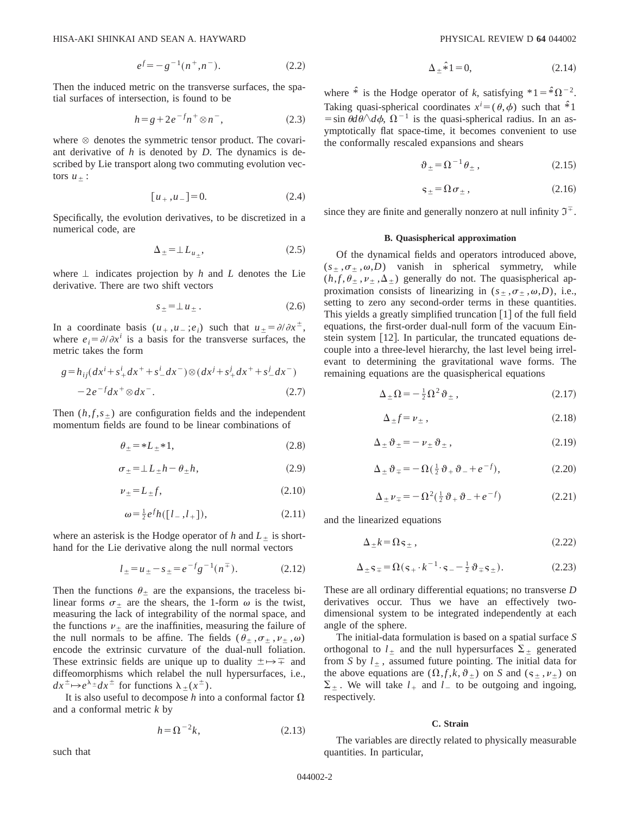$$
e^f = -g^{-1}(n^+, n^-). \tag{2.2}
$$

Then the induced metric on the transverse surfaces, the spatial surfaces of intersection, is found to be

$$
h = g + 2e^{-f}n^{+} \otimes n^{-}, \qquad (2.3)
$$

where  $\otimes$  denotes the symmetric tensor product. The covariant derivative of *h* is denoted by *D*. The dynamics is described by Lie transport along two commuting evolution vectors  $u_+$  :

$$
[u_+, u_-] = 0. \tag{2.4}
$$

Specifically, the evolution derivatives, to be discretized in a numerical code, are

$$
\Delta_{\pm} = \perp L_{u_{\pm}},\tag{2.5}
$$

where  $\perp$  indicates projection by *h* and *L* denotes the Lie derivative. There are two shift vectors

$$
s_{\pm} = \perp u_{\pm} \,. \tag{2.6}
$$

In a coordinate basis  $(u_+, u_-; e_i)$  such that  $u_{\pm} = \partial/\partial x^{\pm}$ , where  $e_i = \partial/\partial x^i$  is a basis for the transverse surfaces, the metric takes the form

$$
g = h_{ij}(dx^{i} + s_{+}^{i}dx^{+} + s_{-}^{i}dx^{-}) \otimes (dx^{j} + s_{+}^{j}dx^{+} + s_{-}^{j}dx^{-})
$$
  
- 2e<sup>-f</sup>dx<sup>+</sup>  $\otimes dx^{-}$ . (2.7)

Then  $(h, f, s<sub>+</sub>)$  are configuration fields and the independent momentum fields are found to be linear combinations of

$$
\theta_{\pm} = *L_{\pm} *1,\tag{2.8}
$$

$$
\sigma_{\pm} = \perp L_{\pm} h - \theta_{\pm} h, \tag{2.9}
$$

$$
\nu_{\pm} = L_{\pm} f,\tag{2.10}
$$

$$
\omega = \frac{1}{2} e^f h([l_-, l_+]), \tag{2.11}
$$

where an asterisk is the Hodge operator of  $h$  and  $L<sub>+</sub>$  is shorthand for the Lie derivative along the null normal vectors

$$
l_{\pm} = u_{\pm} - s_{\pm} = e^{-f}g^{-1}(n^{\mp}). \tag{2.12}
$$

Then the functions  $\theta_+$  are the expansions, the traceless bilinear forms  $\sigma_{\pm}$  are the shears, the 1-form  $\omega$  is the twist, measuring the lack of integrability of the normal space, and the functions  $\nu_+$  are the inaffinities, measuring the failure of the null normals to be affine. The fields  $(\theta_+, \sigma_+, \nu_+, \omega)$ encode the extrinsic curvature of the dual-null foliation. These extrinsic fields are unique up to duality  $\pm \rightarrow \mp$  and diffeomorphisms which relabel the null hypersurfaces, i.e.,  $dx^{\pm} \mapsto e^{\lambda \pm} dx^{\pm}$  for functions  $\lambda_+(x^{\pm})$ .

It is also useful to decompose  $h$  into a conformal factor  $\Omega$ and a conformal metric *k* by

$$
h = \Omega^{-2}k,\tag{2.13}
$$

$$
\Delta_{\pm} \hat{\ast} 1 = 0,\tag{2.14}
$$

where  $\hat{\ast}$  is the Hodge operator of *k*, satisfying  $\hat{\ast}$  1= $\hat{\ast}$  $\Omega^{-2}$ . Taking quasi-spherical coordinates  $x^i = (\theta, \phi)$  such that  $\hat{*}$ 1  $\sin \theta d\theta / d\phi$ ,  $\Omega^{-1}$  is the quasi-spherical radius. In an asymptotically flat space-time, it becomes convenient to use the conformally rescaled expansions and shears

$$
\vartheta_{\pm} = \Omega^{-1} \theta_{\pm} , \qquad (2.15)
$$

$$
\varsigma_{\pm} = \Omega \sigma_{\pm} \,, \tag{2.16}
$$

since they are finite and generally nonzero at null infinity  $\mathfrak{I}^+$ .

### **B. Quasispherical approximation**

Of the dynamical fields and operators introduced above,  $(s_+, \sigma_+, \omega, D)$  vanish in spherical symmetry, while  $(h, f, \theta_+, \nu_+, \Delta_+)$  generally do not. The quasispherical approximation consists of linearizing in  $(s_+, \sigma_+, \omega, D)$ , i.e., setting to zero any second-order terms in these quantities. This yields a greatly simplified truncation  $\lceil 1 \rceil$  of the full field equations, the first-order dual-null form of the vacuum Einstein system [12]. In particular, the truncated equations decouple into a three-level hierarchy, the last level being irrelevant to determining the gravitational wave forms. The remaining equations are the quasispherical equations

$$
\Delta_{\pm}\Omega = -\frac{1}{2}\Omega^2\vartheta_{\pm}\,,\tag{2.17}
$$

$$
\Delta_{\pm} f = \nu_{\pm} \,, \tag{2.18}
$$

$$
\Delta_{\pm}\vartheta_{\pm} = -\nu_{\pm}\vartheta_{\pm}\,,\tag{2.19}
$$

$$
\Delta_{\pm}\vartheta_{\mp} = -\Omega(\tfrac{1}{2}\vartheta_{+}\vartheta_{-} + e^{-f}),\tag{2.20}
$$

$$
\Delta_{\pm} \nu_{\mp} = -\Omega^2 (\tfrac{1}{2} \vartheta_{+} \vartheta_{-} + e^{-f}) \tag{2.21}
$$

and the linearized equations

$$
\Delta_{\pm}k = \Omega \,\mathsf{s}_{\pm}\,,\tag{2.22}
$$

$$
\Delta_{\pm} \mathbf{s}_{\mp} = \Omega(\mathbf{s}_{+} \cdot k^{-1} \cdot \mathbf{s}_{-} - \frac{1}{2} \vartheta_{\mp} \mathbf{s}_{\pm}). \tag{2.23}
$$

These are all ordinary differential equations; no transverse *D* derivatives occur. Thus we have an effectively twodimensional system to be integrated independently at each angle of the sphere.

The initial-data formulation is based on a spatial surface *S* orthogonal to  $l_{\pm}$  and the null hypersurfaces  $\Sigma_{\pm}$  generated from *S* by  $l_{\pm}$ , assumed future pointing. The initial data for the above equations are  $(\Omega, f, k, \vartheta)$  on *S* and  $(s_+, \nu_+)$  on  $\Sigma_{+}$ . We will take  $l_{+}$  and  $l_{-}$  to be outgoing and ingoing, respectively.

#### **C. Strain**

The variables are directly related to physically measurable quantities. In particular,

such that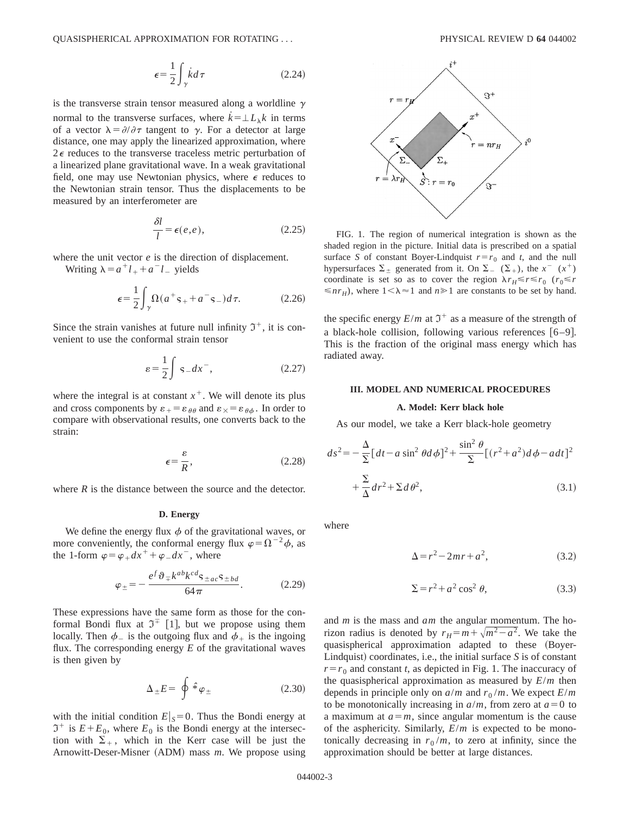$$
\epsilon = \frac{1}{2} \int_{\gamma} \dot{k} d\tau \tag{2.24}
$$

is the transverse strain tensor measured along a worldline  $\gamma$ normal to the transverse surfaces, where  $\vec{k} = \pm L_{\lambda} k$  in terms of a vector  $\lambda = \partial/\partial \tau$  tangent to  $\gamma$ . For a detector at large distance, one may apply the linearized approximation, where  $2\epsilon$  reduces to the transverse traceless metric perturbation of a linearized plane gravitational wave. In a weak gravitational field, one may use Newtonian physics, where  $\epsilon$  reduces to the Newtonian strain tensor. Thus the displacements to be measured by an interferometer are

$$
\frac{\delta l}{l} = \epsilon(e, e),\tag{2.25}
$$

where the unit vector *e* is the direction of displacement.

Writing  $\lambda = a^{\dagger}l_{+} + a^{-}l_{-}$  yields

$$
\epsilon = \frac{1}{2} \int_{\gamma} \Omega(a^+ s_+ + a^- s_-) d\tau.
$$
 (2.26)

Since the strain vanishes at future null infinity  $\mathfrak{I}^+$ , it is convenient to use the conformal strain tensor

$$
\varepsilon = \frac{1}{2} \int \mathsf{s} \, dx^{-}, \tag{2.27}
$$

where the integral is at constant  $x^+$ . We will denote its plus and cross components by  $\varepsilon_{+} = \varepsilon_{\theta\theta}$  and  $\varepsilon_{\times} = \varepsilon_{\theta\phi}$ . In order to compare with observational results, one converts back to the strain:

$$
\epsilon = \frac{\varepsilon}{R},\tag{2.28}
$$

where *R* is the distance between the source and the detector.

## **D. Energy**

We define the energy flux  $\phi$  of the gravitational waves, or more conveniently, the conformal energy flux  $\varphi = \Omega^{-2} \phi$ , as the 1-form  $\varphi = \varphi_{+} dx^{+} + \varphi_{-} dx^{-}$ , where

$$
\varphi_{\pm} = -\frac{e^f \vartheta_{\mp} k^{ab} k^{cd} \mathbf{s}_{\pm ac} \mathbf{s}_{\pm bd}}{64\pi}.
$$
 (2.29)

These expressions have the same form as those for the conformal Bondi flux at  $\mathfrak{I}^{\mp}$  [1], but we propose using them locally. Then  $\phi$  is the outgoing flux and  $\phi$  is the ingoing flux. The corresponding energy *E* of the gravitational waves is then given by

$$
\Delta_{\pm}E = \oint \hat{\ast} \varphi_{\pm} \tag{2.30}
$$

with the initial condition  $E|_S=0$ . Thus the Bondi energy at  $\mathfrak{I}^+$  is  $E+E_0$ , where  $E_0$  is the Bondi energy at the intersection with  $\Sigma_{+}$ , which in the Kerr case will be just the Arnowitt-Deser-Misner (ADM) mass *m*. We propose using



FIG. 1. The region of numerical integration is shown as the shaded region in the picture. Initial data is prescribed on a spatial surface *S* of constant Boyer-Lindquist  $r = r_0$  and *t*, and the null hypersurfaces  $\Sigma_{\pm}$  generated from it. On  $\Sigma_{-}$  ( $\Sigma_{+}$ ), the  $x^{-}(x^{+})$ coordinate is set so as to cover the region  $\lambda r_H \le r \le r_0$  ( $r_0 \le r$ )  $\leq n r_H$ ), where  $1 < \lambda \approx 1$  and  $n \geq 1$  are constants to be set by hand.

the specific energy  $E/m$  at  $\mathfrak{I}^+$  as a measure of the strength of a black-hole collision, following various references  $[6-9]$ . This is the fraction of the original mass energy which has radiated away.

# **III. MODEL AND NUMERICAL PROCEDURES**

# **A. Model: Kerr black hole**

As our model, we take a Kerr black-hole geometry

$$
ds^{2} = -\frac{\Delta}{\Sigma} \left[ dt - a \sin^{2} \theta d\phi \right]^{2} + \frac{\sin^{2} \theta}{\Sigma} \left[ (r^{2} + a^{2}) d\phi - a dt \right]^{2}
$$

$$
+ \frac{\Sigma}{\Delta} dr^{2} + \Sigma d\theta^{2}, \qquad (3.1)
$$

where

$$
\Delta = r^2 - 2mr + a^2,\tag{3.2}
$$

$$
\Sigma = r^2 + a^2 \cos^2 \theta,\tag{3.3}
$$

and *m* is the mass and *am* the angular momentum. The horizon radius is denoted by  $r_H = m + \sqrt{m^2 - a^2}$ . We take the quasispherical approximation adapted to these (Boyer-Lindquist) coordinates, i.e., the initial surface  $S$  is of constant  $r=r_0$  and constant *t*, as depicted in Fig. 1. The inaccuracy of the quasispherical approximation as measured by *E*/*m* then depends in principle only on  $a/m$  and  $r_0/m$ . We expect  $E/m$ to be monotonically increasing in  $a/m$ , from zero at  $a=0$  to a maximum at  $a=m$ , since angular momentum is the cause of the asphericity. Similarly, *E*/*m* is expected to be monotonically decreasing in  $r_0/m$ , to zero at infinity, since the approximation should be better at large distances.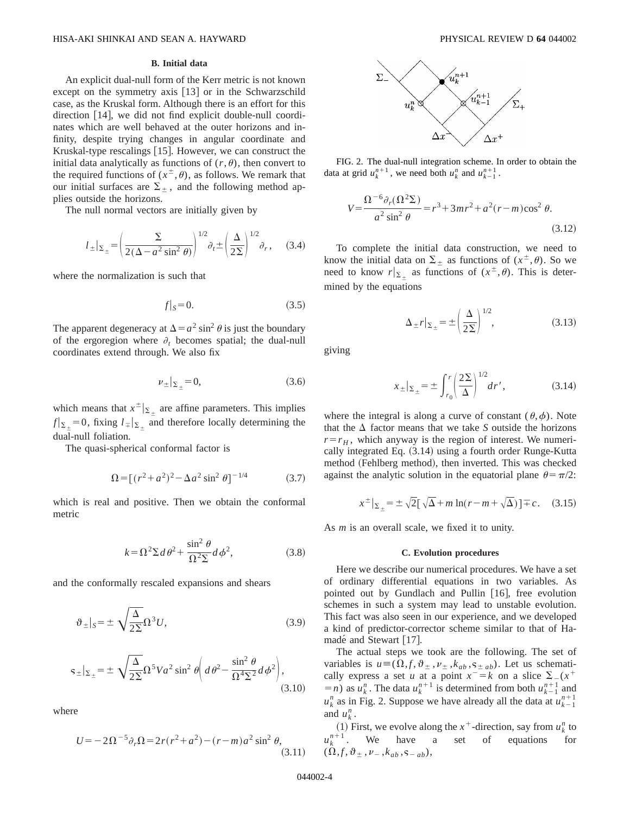# **B. Initial data**

An explicit dual-null form of the Kerr metric is not known except on the symmetry axis  $[13]$  or in the Schwarzschild case, as the Kruskal form. Although there is an effort for this direction  $[14]$ , we did not find explicit double-null coordinates which are well behaved at the outer horizons and infinity, despite trying changes in angular coordinate and Kruskal-type rescalings  $[15]$ . However, we can construct the initial data analytically as functions of  $(r, \theta)$ , then convert to the required functions of  $(x^{\pm}, \theta)$ , as follows. We remark that our initial surfaces are  $\Sigma_{\pm}$ , and the following method applies outside the horizons.

The null normal vectors are initially given by

$$
l_{\pm}|_{\Sigma_{\pm}} = \left(\frac{\Sigma}{2(\Delta - a^2 \sin^2 \theta)}\right)^{1/2} \partial_t \pm \left(\frac{\Delta}{2\Sigma}\right)^{1/2} \partial_r, \quad (3.4)
$$

where the normalization is such that

$$
f|_{S} = 0.\tag{3.5}
$$

The apparent degeneracy at  $\Delta = a^2 \sin^2 \theta$  is just the boundary of the ergoregion where  $\partial_t$  becomes spatial; the dual-null coordinates extend through. We also fix

$$
\nu_{\pm}|_{\Sigma_{\pm}} = 0, \tag{3.6}
$$

which means that  $x^{\pm} |_{\Sigma_{+}}$  are affine parameters. This implies  $f|_{\Sigma_+}=0$ , fixing  $l_{\overline{+}}|_{\Sigma_+}$  and therefore locally determining the dual-null foliation.

The quasi-spherical conformal factor is

$$
\Omega = \left[ (r^2 + a^2)^2 - \Delta a^2 \sin^2 \theta \right]^{-1/4} \tag{3.7}
$$

which is real and positive. Then we obtain the conformal metric

$$
k = \Omega^2 \Sigma d\theta^2 + \frac{\sin^2 \theta}{\Omega^2 \Sigma} d\phi^2, \tag{3.8}
$$

and the conformally rescaled expansions and shears

$$
\vartheta_{\pm}|_{S} = \pm \sqrt{\frac{\Delta}{2\Sigma}} \Omega^{3} U, \qquad (3.9)
$$

$$
s_{\pm}|_{\Sigma_{\pm}} = \pm \sqrt{\frac{\Delta}{2\Sigma}} \Omega^5 V a^2 \sin^2 \theta \left( d\theta^2 - \frac{\sin^2 \theta}{\Omega^4 \Sigma^2} d\phi^2 \right),\tag{3.10}
$$

where

$$
U = -2\Omega^{-5}\partial_r\Omega = 2r(r^2 + a^2) - (r - m)a^2\sin^2\theta,
$$
\n(3.11)



FIG. 2. The dual-null integration scheme. In order to obtain the data at grid  $u_k^{n+1}$ , we need both  $u_k^n$  and  $u_{k-1}^{n+1}$ .

$$
V = \frac{\Omega^{-6} \partial_r (\Omega^2 \Sigma)}{a^2 \sin^2 \theta} = r^3 + 3mr^2 + a^2(r - m)\cos^2 \theta.
$$
 (3.12)

To complete the initial data construction, we need to know the initial data on  $\Sigma_{\pm}$  as functions of  $(x^{\pm}, \theta)$ . So we need to know  $r|_{\Sigma_+}$  as functions of  $(x^{\pm}, \theta)$ . This is determined by the equations

$$
\Delta_{\pm}r|_{\Sigma_{\pm}} = \pm \left(\frac{\Delta}{2\Sigma}\right)^{1/2},\tag{3.13}
$$

giving

$$
x_{\pm}|_{\Sigma_{\pm}} = \pm \int_{r_0}^{r} \left(\frac{2\Sigma}{\Delta}\right)^{1/2} dr', \tag{3.14}
$$

where the integral is along a curve of constant  $(\theta, \phi)$ . Note that the  $\Delta$  factor means that we take *S* outside the horizons  $r=r_H$ , which anyway is the region of interest. We numerically integrated Eq.  $(3.14)$  using a fourth order Runge-Kutta method (Fehlberg method), then inverted. This was checked against the analytic solution in the equatorial plane  $\theta = \pi/2$ :

$$
x^{\pm}|_{\Sigma_{\pm}} = \pm \sqrt{2} [\sqrt{\Delta} + m \ln(r - m + \sqrt{\Delta})] \mp c. \quad (3.15)
$$

As *m* is an overall scale, we fixed it to unity.

#### **C. Evolution procedures**

Here we describe our numerical procedures. We have a set of ordinary differential equations in two variables. As pointed out by Gundlach and Pullin [16], free evolution schemes in such a system may lead to unstable evolution. This fact was also seen in our experience, and we developed a kind of predictor-corrector scheme similar to that of Hamadé and Stewart  $[17]$ .

The actual steps we took are the following. The set of variables is  $u = (\Omega, f, \vartheta_{\pm}, \nu_{\pm}, k_{ab}, \varsigma_{\pm ab})$ . Let us schematically express a set *u* at a point  $x^-=k$  on a slice  $\Sigma_-(x^+$  $(n = n)$  as  $u_k^n$ . The data  $u_k^{n+1}$  is determined from both  $u_{k-1}^{n+1}$  and  $u_k^n$  as in Fig. 2. Suppose we have already all the data at  $u_{k-1}^{n+1}$ and  $u_k^n$ .

(1) First, we evolve along the  $x^+$ -direction, say from  $u_k^n$  to  $u_k^{n+1}$ . We have a set of equations for  $(\Omega, f, \vartheta_{\pm}, \nu_-, k_{ab}, \varsigma_{-ab}),$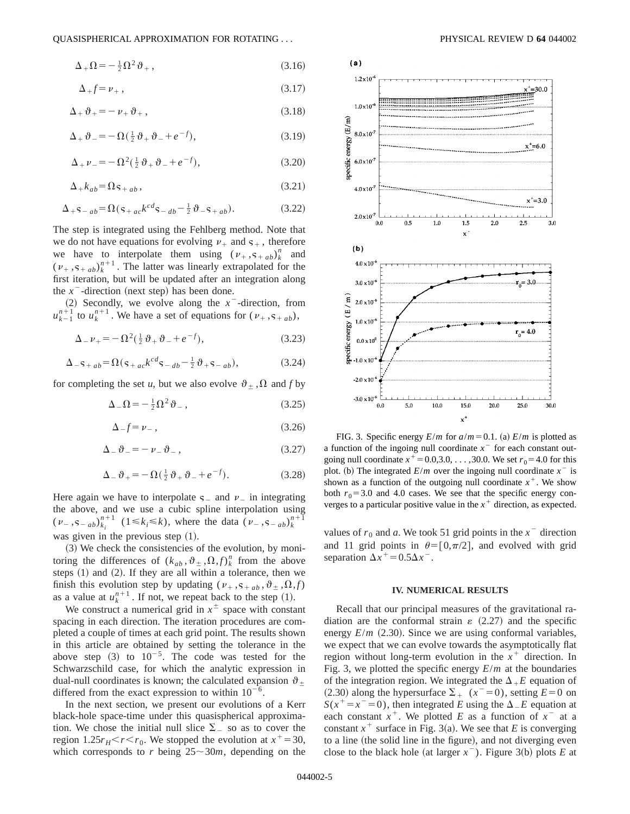$$
\Delta_{+}\Omega = -\frac{1}{2}\Omega^{2}\vartheta_{+}\,,\tag{3.16}
$$

$$
\Delta_{+} f = \nu_{+} \,, \tag{3.17}
$$

$$
\Delta_+ \vartheta_+ = -\nu_+ \vartheta_+ \,, \tag{3.18}
$$

$$
\Delta_+ \vartheta_- = -\Omega(\tfrac{1}{2}\vartheta_+ \vartheta_- + e^{-f}), \tag{3.19}
$$

$$
\Delta_{+}\nu_{-} = -\Omega^{2}(\frac{1}{2}\vartheta_{+}\vartheta_{-} + e^{-f}), \qquad (3.20)
$$

$$
\Delta_{+}k_{ab} = \Omega \mathbf{s}_{+ab} \,, \tag{3.21}
$$

$$
\Delta_{+} \mathbf{s}_{-ab} = \Omega(\mathbf{s}_{+ac}k^{cd}\mathbf{s}_{-db} - \frac{1}{2}\vartheta_{-}\mathbf{s}_{+ab}).
$$
 (3.22)

The step is integrated using the Fehlberg method. Note that we do not have equations for evolving  $v_+$  and  $s_+$ , therefore we have to interpolate them using  $(\nu_+, s_{+ab})^n_k$  and  $(v_+, s_{+ab})_k^{n+1}$ . The latter was linearly extrapolated for the first iteration, but will be updated after an integration along the  $x^-$ -direction (next step) has been done.

(2) Secondly, we evolve along the  $x^-$ -direction, from  $u_{k-1}^{n+1}$  to  $u_k^{n+1}$ . We have a set of equations for  $(v_+, s_{+ab})$ ,

$$
\Delta_{-}\nu_{+} = -\Omega^{2}(\frac{1}{2}\vartheta_{+}\vartheta_{-} + e^{-f}), \qquad (3.23)
$$

$$
\Delta_{-} \mathbf{s}_{+ab} = \Omega \left( \mathbf{s}_{+ac} k^{cd} \mathbf{s}_{-db} - \frac{1}{2} \vartheta_{+} \mathbf{s}_{-ab} \right),\tag{3.24}
$$

for completing the set *u*, but we also evolve  $\vartheta_{\pm}$ ,  $\Omega$  and *f* by

$$
\Delta_{-}\Omega = -\frac{1}{2}\Omega^2 \vartheta_{-},\qquad(3.25)
$$

$$
\Delta_{-}f = \nu_{-} \,, \tag{3.26}
$$

$$
\Delta_{-}\vartheta_{-} = -\nu_{-}\vartheta_{-}\,,\tag{3.27}
$$

$$
\Delta_{-}\vartheta_{+}=-\Omega(\tfrac{1}{2}\vartheta_{+}\vartheta_{-}+e^{-f}).
$$
\n(3.28)

Here again we have to interpolate  $s_$  and  $\nu_$  in integrating the above, and we use a cubic spline interpolation using  $(v_-, s_{-ab})_{k_i}^{n+1}$   $(1 \le k_i \le k)$ , where the data  $(v_-, s_{-ab})_k^{n+1}$ was given in the previous step  $(1)$ .

 $(3)$  We check the consistencies of the evolution, by monitoring the differences of  $(k_{ab}, \vartheta_\pm, \Omega, f)$ <sup>n</sup><sub>k</sub> from the above steps  $(1)$  and  $(2)$ . If they are all within a tolerance, then we finish this evolution step by updating ( $v_+, s_{+, ab}, \vartheta_{\pm}, \Omega, f$ ) as a value at  $u_k^{n+1}$ . If not, we repeat back to the step (1).

We construct a numerical grid in  $x^{\pm}$  space with constant spacing in each direction. The iteration procedures are completed a couple of times at each grid point. The results shown in this article are obtained by setting the tolerance in the above step  $(3)$  to  $10^{-5}$ . The code was tested for the Schwarzschild case, for which the analytic expression in dual-null coordinates is known; the calculated expansion  $\vartheta$ . differed from the exact expression to within  $10^{-6}$ .

In the next section, we present our evolutions of a Kerr black-hole space-time under this quasispherical approximation. We chose the initial null slice  $\Sigma$  so as to cover the region 1.25 $r_H < r < r_0$ . We stopped the evolution at  $x^+=30$ , which corresponds to *r* being  $25 \sim 30m$ , depending on the



FIG. 3. Specific energy  $E/m$  for  $a/m=0.1$ . (a)  $E/m$  is plotted as a function of the ingoing null coordinate  $x<sup>-</sup>$  for each constant outgoing null coordinate  $x^+ = 0.0,3.0, \ldots, 30.0$ . We set  $r_0 = 4.0$  for this plot. (b) The integrated  $E/m$  over the ingoing null coordinate  $x^{-}$  is shown as a function of the outgoing null coordinate  $x^+$ . We show both  $r_0$ =3.0 and 4.0 cases. We see that the specific energy converges to a particular positive value in the  $x^+$  direction, as expected.

values of  $r_0$  and *a*. We took 51 grid points in the  $x^-$  direction and 11 grid points in  $\theta = [0,\pi/2]$ , and evolved with grid separation  $\Delta x^+ = 0.5 \Delta x^-$ .

#### **IV. NUMERICAL RESULTS**

Recall that our principal measures of the gravitational radiation are the conformal strain  $\varepsilon$  (2.27) and the specific energy  $E/m$  (2.30). Since we are using conformal variables, we expect that we can evolve towards the asymptotically flat region without long-term evolution in the  $x^+$  direction. In Fig. 3, we plotted the specific energy *E*/*m* at the boundaries of the integration region. We integrated the  $\Delta_{+}E$  equation of  $(2.30)$  along the hypersurface  $\Sigma_+$   $(x^-=0)$ , setting  $E=0$  on  $S(x^+=x^-=0)$ , then integrated *E* using the  $\Delta$ <sub>*-E*</sub> equation at each constant  $x^+$ . We plotted *E* as a function of  $x^-$  at a constant  $x^+$  surface in Fig. 3(a). We see that *E* is converging to a line (the solid line in the figure), and not diverging even close to the black hole (at larger  $x^-$ ). Figure 3(b) plots *E* at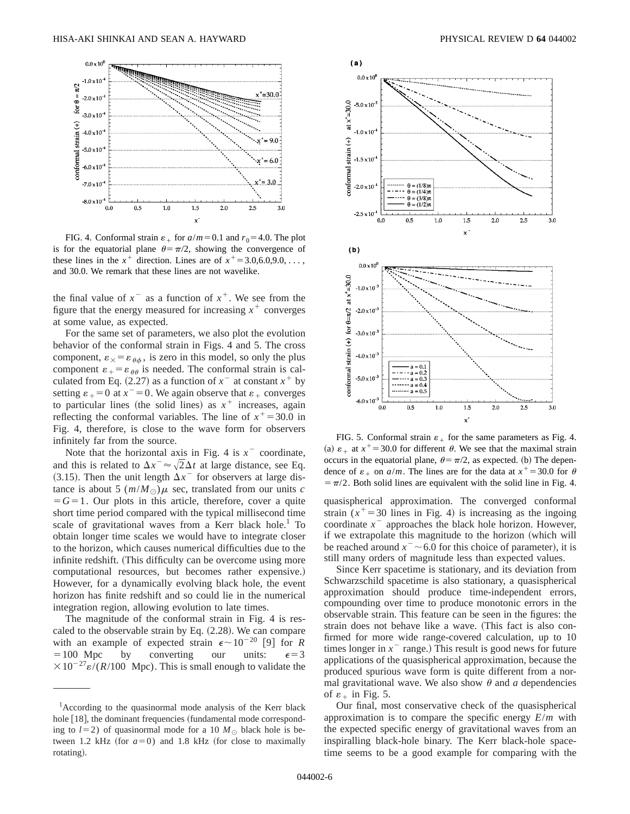

FIG. 4. Conformal strain  $\varepsilon_+$  for  $a/m = 0.1$  and  $r_0 = 4.0$ . The plot is for the equatorial plane  $\theta = \pi/2$ , showing the convergence of these lines in the  $x^+$  direction. Lines are of  $x^+=3.0,6.0,9.0,\ldots$ , and 30.0. We remark that these lines are not wavelike.

the final value of  $x^{\text{-}}$  as a function of  $x^{\text{+}}$ . We see from the figure that the energy measured for increasing  $x^+$  converges at some value, as expected.

For the same set of parameters, we also plot the evolution behavior of the conformal strain in Figs. 4 and 5. The cross component,  $\varepsilon_{\times} = \varepsilon_{\theta\phi}$ , is zero in this model, so only the plus component  $\varepsilon_{+} = \varepsilon_{\theta\theta}$  is needed. The conformal strain is calculated from Eq.  $(2.27)$  as a function of  $x^-$  at constant  $x^+$  by setting  $\varepsilon_{+}=0$  at  $x^{-}=0$ . We again observe that  $\varepsilon_{+}$  converges to particular lines (the solid lines) as  $x^+$  increases, again reflecting the conformal variables. The line of  $x^+=30.0$  in Fig. 4, therefore, is close to the wave form for observers infinitely far from the source.

Note that the horizontal axis in Fig. 4 is  $x^-$  coordinate, and this is related to  $\Delta x^{-} \approx \sqrt{2} \Delta t$  at large distance, see Eq. (3.15). Then the unit length  $\Delta x$ <sup>-</sup> for observers at large distance is about 5  $(m/M)$  sec, translated from our units *c*  $=$   $G=1$ . Our plots in this article, therefore, cover a quite short time period compared with the typical millisecond time scale of gravitational waves from a Kerr black hole.<sup>1</sup> To obtain longer time scales we would have to integrate closer to the horizon, which causes numerical difficulties due to the infinite redshift. (This difficulty can be overcome using more computational resources, but becomes rather expensive.) However, for a dynamically evolving black hole, the event horizon has finite redshift and so could lie in the numerical integration region, allowing evolution to late times.

The magnitude of the conformal strain in Fig. 4 is rescaled to the observable strain by Eq.  $(2.28)$ . We can compare with an example of expected strain  $\epsilon \sim 10^{-20}$  [9] for *R*  $=100$  Mpc by converting our units:  $\epsilon=3$  $\times 10^{-27}$ e/(*R*/100 Mpc). This is small enough to validate the



FIG. 5. Conformal strain  $\varepsilon_+$  for the same parameters as Fig. 4. (a)  $\varepsilon_+$  at  $x^+=30.0$  for different  $\theta$ . We see that the maximal strain occurs in the equatorial plane,  $\theta = \pi/2$ , as expected. (b) The dependence of  $\varepsilon_{+}$  on  $a/m$ . The lines are for the data at  $x^+=30.0$  for  $\theta$  $=$   $\pi/2$ . Both solid lines are equivalent with the solid line in Fig. 4.

quasispherical approximation. The converged conformal strain  $(x^+=30)$  lines in Fig. 4) is increasing as the ingoing coordinate  $x^-$  approaches the black hole horizon. However, if we extrapolate this magnitude to the horizon (which will be reached around  $x^-$  ~ 6.0 for this choice of parameter), it is still many orders of magnitude less than expected values.

Since Kerr spacetime is stationary, and its deviation from Schwarzschild spacetime is also stationary, a quasispherical approximation should produce time-independent errors, compounding over time to produce monotonic errors in the observable strain. This feature can be seen in the figures: the strain does not behave like a wave. (This fact is also confirmed for more wide range-covered calculation, up to 10 times longer in  $x<sup>-</sup>$  range.) This result is good news for future applications of the quasispherical approximation, because the produced spurious wave form is quite different from a normal gravitational wave. We also show  $\theta$  and *a* dependencies of  $\varepsilon_+$  in Fig. 5.

Our final, most conservative check of the quasispherical approximation is to compare the specific energy *E*/*m* with the expected specific energy of gravitational waves from an inspiralling black-hole binary. The Kerr black-hole spacetime seems to be a good example for comparing with the

<sup>&</sup>lt;sup>1</sup> According to the quasinormal mode analysis of the Kerr black hole  $[18]$ , the dominant frequencies (fundamental mode corresponding to  $l=2$ ) of quasinormal mode for a 10  $M_{\odot}$  black hole is between 1.2 kHz (for  $a=0$ ) and 1.8 kHz (for close to maximally rotating).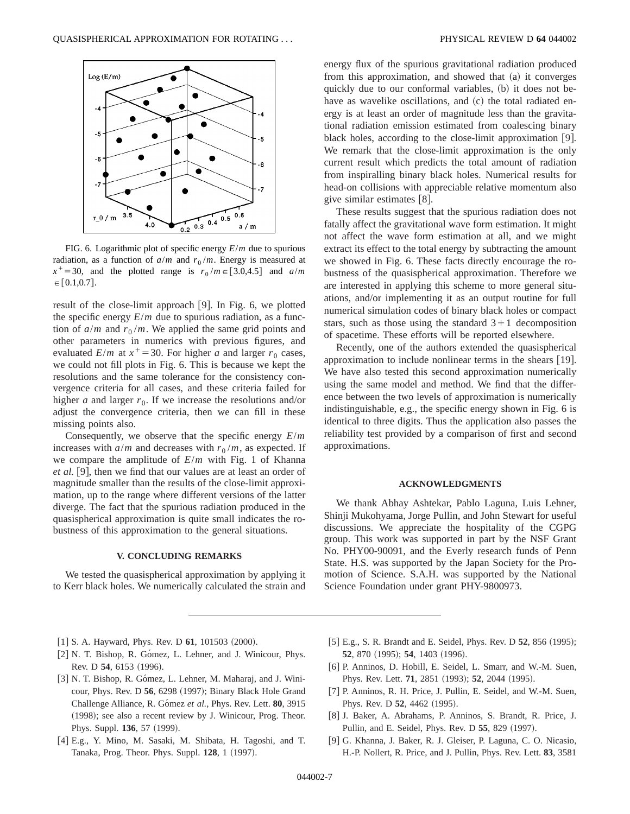

FIG. 6. Logarithmic plot of specific energy *E*/*m* due to spurious radiation, as a function of  $a/m$  and  $r_0/m$ . Energy is measured at  $x^+=30$ , and the plotted range is  $r_0/m \in [3.0,4.5]$  and  $a/m$  $\in [0.1, 0.7].$ 

result of the close-limit approach [9]. In Fig. 6, we plotted the specific energy  $E/m$  due to spurious radiation, as a function of  $a/m$  and  $r_0/m$ . We applied the same grid points and other parameters in numerics with previous figures, and evaluated  $E/m$  at  $x^+=30$ . For higher *a* and larger  $r_0$  cases, we could not fill plots in Fig. 6. This is because we kept the resolutions and the same tolerance for the consistency convergence criteria for all cases, and these criteria failed for higher *a* and larger  $r_0$ . If we increase the resolutions and/or adjust the convergence criteria, then we can fill in these missing points also.

Consequently, we observe that the specific energy *E*/*m* increases with  $a/m$  and decreases with  $r_0/m$ , as expected. If we compare the amplitude of *E*/*m* with Fig. 1 of Khanna *et al.* [9], then we find that our values are at least an order of magnitude smaller than the results of the close-limit approximation, up to the range where different versions of the latter diverge. The fact that the spurious radiation produced in the quasispherical approximation is quite small indicates the robustness of this approximation to the general situations.

## **V. CONCLUDING REMARKS**

We tested the quasispherical approximation by applying it to Kerr black holes. We numerically calculated the strain and energy flux of the spurious gravitational radiation produced from this approximation, and showed that  $(a)$  it converges quickly due to our conformal variables, (b) it does not behave as wavelike oscillations, and (c) the total radiated energy is at least an order of magnitude less than the gravitational radiation emission estimated from coalescing binary black holes, according to the close-limit approximation  $[9]$ . We remark that the close-limit approximation is the only current result which predicts the total amount of radiation from inspiralling binary black holes. Numerical results for head-on collisions with appreciable relative momentum also give similar estimates  $[8]$ .

These results suggest that the spurious radiation does not fatally affect the gravitational wave form estimation. It might not affect the wave form estimation at all, and we might extract its effect to the total energy by subtracting the amount we showed in Fig. 6. These facts directly encourage the robustness of the quasispherical approximation. Therefore we are interested in applying this scheme to more general situations, and/or implementing it as an output routine for full numerical simulation codes of binary black holes or compact stars, such as those using the standard  $3+1$  decomposition of spacetime. These efforts will be reported elsewhere.

Recently, one of the authors extended the quasispherical approximation to include nonlinear terms in the shears  $[19]$ . We have also tested this second approximation numerically using the same model and method. We find that the difference between the two levels of approximation is numerically indistinguishable, e.g., the specific energy shown in Fig. 6 is identical to three digits. Thus the application also passes the reliability test provided by a comparison of first and second approximations.

### **ACKNOWLEDGMENTS**

We thank Abhay Ashtekar, Pablo Laguna, Luis Lehner, Shinji Mukohyama, Jorge Pullin, and John Stewart for useful discussions. We appreciate the hospitality of the CGPG group. This work was supported in part by the NSF Grant No. PHY00-90091, and the Everly research funds of Penn State. H.S. was supported by the Japan Society for the Promotion of Science. S.A.H. was supported by the National Science Foundation under grant PHY-9800973.

- $[1]$  S. A. Hayward, Phys. Rev. D  $61$ , 101503  $(2000)$ .
- [2] N. T. Bishop, R. Gómez, L. Lehner, and J. Winicour, Phys. Rev. D 54, 6153 (1996).
- [3] N. T. Bishop, R. Gómez, L. Lehner, M. Maharaj, and J. Winicour, Phys. Rev. D 56, 6298 (1997); Binary Black Hole Grand Challenge Alliance, R. Gómez et al., Phys. Rev. Lett. 80, 3915  $(1998)$ ; see also a recent review by J. Winicour, Prog. Theor. Phys. Suppl. **136**, 57 (1999).
- [4] E.g., Y. Mino, M. Sasaki, M. Shibata, H. Tagoshi, and T. Tanaka, Prog. Theor. Phys. Suppl. **128**, 1 (1997).
- [5] E.g., S. R. Brandt and E. Seidel, Phys. Rev. D 52, 856 (1995); **52**, 870 (1995); **54**, 1403 (1996).
- [6] P. Anninos, D. Hobill, E. Seidel, L. Smarr, and W.-M. Suen, Phys. Rev. Lett. **71**, 2851 (1993); **52**, 2044 (1995).
- [7] P. Anninos, R. H. Price, J. Pullin, E. Seidel, and W.-M. Suen, Phys. Rev. D 52, 4462 (1995).
- [8] J. Baker, A. Abrahams, P. Anninos, S. Brandt, R. Price, J. Pullin, and E. Seidel, Phys. Rev. D 55, 829 (1997).
- [9] G. Khanna, J. Baker, R. J. Gleiser, P. Laguna, C. O. Nicasio, H.-P. Nollert, R. Price, and J. Pullin, Phys. Rev. Lett. **83**, 3581